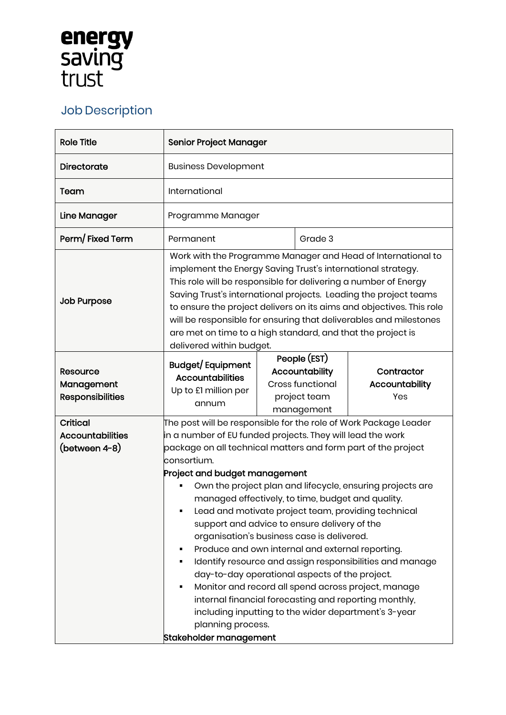## **energy<br>saving<br>trust**

## Job Description

| <b>Role Title</b>                                           | <b>Senior Project Manager</b>                                                                                                                                                                                                                                                                                                                                                                                                                                                                                                                                                                                                                                                                                                                                                                                                                                                                                   |  |                                                                                         |                                            |
|-------------------------------------------------------------|-----------------------------------------------------------------------------------------------------------------------------------------------------------------------------------------------------------------------------------------------------------------------------------------------------------------------------------------------------------------------------------------------------------------------------------------------------------------------------------------------------------------------------------------------------------------------------------------------------------------------------------------------------------------------------------------------------------------------------------------------------------------------------------------------------------------------------------------------------------------------------------------------------------------|--|-----------------------------------------------------------------------------------------|--------------------------------------------|
| Directorate                                                 | <b>Business Development</b>                                                                                                                                                                                                                                                                                                                                                                                                                                                                                                                                                                                                                                                                                                                                                                                                                                                                                     |  |                                                                                         |                                            |
| Team                                                        | International                                                                                                                                                                                                                                                                                                                                                                                                                                                                                                                                                                                                                                                                                                                                                                                                                                                                                                   |  |                                                                                         |                                            |
| Line Manager                                                | Programme Manager                                                                                                                                                                                                                                                                                                                                                                                                                                                                                                                                                                                                                                                                                                                                                                                                                                                                                               |  |                                                                                         |                                            |
| Perm/Fixed Term                                             | Permanent                                                                                                                                                                                                                                                                                                                                                                                                                                                                                                                                                                                                                                                                                                                                                                                                                                                                                                       |  | Grade 3                                                                                 |                                            |
| <b>Job Purpose</b>                                          | Work with the Programme Manager and Head of International to<br>implement the Energy Saving Trust's international strategy.<br>This role will be responsible for delivering a number of Energy<br>Saving Trust's international projects. Leading the project teams<br>to ensure the project delivers on its aims and objectives. This role<br>will be responsible for ensuring that deliverables and milestones<br>are met on time to a high standard, and that the project is<br>delivered within budget.                                                                                                                                                                                                                                                                                                                                                                                                      |  |                                                                                         |                                            |
| <b>Resource</b><br>Management<br><b>Responsibilities</b>    | Budget/Equipment<br><b>Accountabilities</b><br>Up to £1 million per<br>annum                                                                                                                                                                                                                                                                                                                                                                                                                                                                                                                                                                                                                                                                                                                                                                                                                                    |  | People (EST)<br>Accountability<br><b>Cross functional</b><br>project team<br>management | Contractor<br><b>Accountability</b><br>Yes |
| <b>Critical</b><br><b>Accountabilities</b><br>(between 4-8) | The post will be responsible for the role of Work Package Leader<br>in a number of EU funded projects. They will lead the work<br>package on all technical matters and form part of the project<br>consortium.<br>Project and budget management<br>Own the project plan and lifecycle, ensuring projects are<br>managed effectively, to time, budget and quality.<br>Lead and motivate project team, providing technical<br>support and advice to ensure delivery of the<br>organisation's business case is delivered.<br>Produce and own internal and external reporting.<br>Identify resource and assign responsibilities and manage<br>day-to-day operational aspects of the project.<br>Monitor and record all spend across project, manage<br>internal financial forecasting and reporting monthly,<br>including inputting to the wider department's 3-year<br>planning process.<br>Stakeholder management |  |                                                                                         |                                            |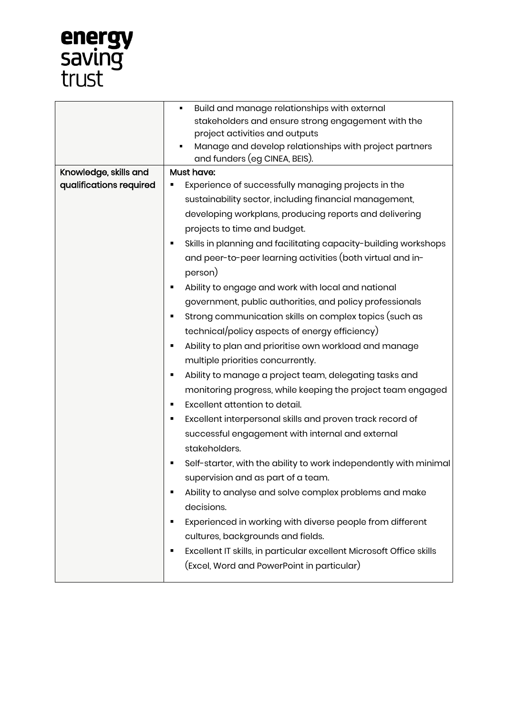

|                         | Build and manage relationships with external<br>٠                    |  |  |  |
|-------------------------|----------------------------------------------------------------------|--|--|--|
|                         | stakeholders and ensure strong engagement with the                   |  |  |  |
|                         | project activities and outputs                                       |  |  |  |
|                         | Manage and develop relationships with project partners               |  |  |  |
|                         | and funders (eg CINEA, BEIS).                                        |  |  |  |
| Knowledge, skills and   | Must have:                                                           |  |  |  |
| qualifications required | Experience of successfully managing projects in the                  |  |  |  |
|                         | sustainability sector, including financial management,               |  |  |  |
|                         | developing workplans, producing reports and delivering               |  |  |  |
|                         | projects to time and budget.                                         |  |  |  |
|                         | Skills in planning and facilitating capacity-building workshops<br>٠ |  |  |  |
|                         | and peer-to-peer learning activities (both virtual and in-           |  |  |  |
|                         | person)                                                              |  |  |  |
|                         | Ability to engage and work with local and national<br>$\blacksquare$ |  |  |  |
|                         | government, public authorities, and policy professionals             |  |  |  |
|                         | Strong communication skills on complex topics (such as<br>٠          |  |  |  |
|                         | technical/policy aspects of energy efficiency)                       |  |  |  |
|                         | Ability to plan and prioritise own workload and manage<br>٠          |  |  |  |
|                         | multiple priorities concurrently.                                    |  |  |  |
|                         | Ability to manage a project team, delegating tasks and<br>٠          |  |  |  |
|                         | monitoring progress, while keeping the project team engaged          |  |  |  |
|                         | Excellent attention to detail.<br>٠                                  |  |  |  |
|                         | Excellent interpersonal skills and proven track record of<br>٠       |  |  |  |
|                         | successful engagement with internal and external                     |  |  |  |
|                         | stakeholders.                                                        |  |  |  |
|                         | Self-starter, with the ability to work independently with minimal    |  |  |  |
|                         | supervision and as part of a team.                                   |  |  |  |
|                         | Ability to analyse and solve complex problems and make               |  |  |  |
|                         | decisions.                                                           |  |  |  |
|                         | Experienced in working with diverse people from different<br>٠       |  |  |  |
|                         | cultures, backgrounds and fields.                                    |  |  |  |
|                         | Excellent IT skills, in particular excellent Microsoft Office skills |  |  |  |
|                         | (Excel, Word and PowerPoint in particular)                           |  |  |  |
|                         |                                                                      |  |  |  |